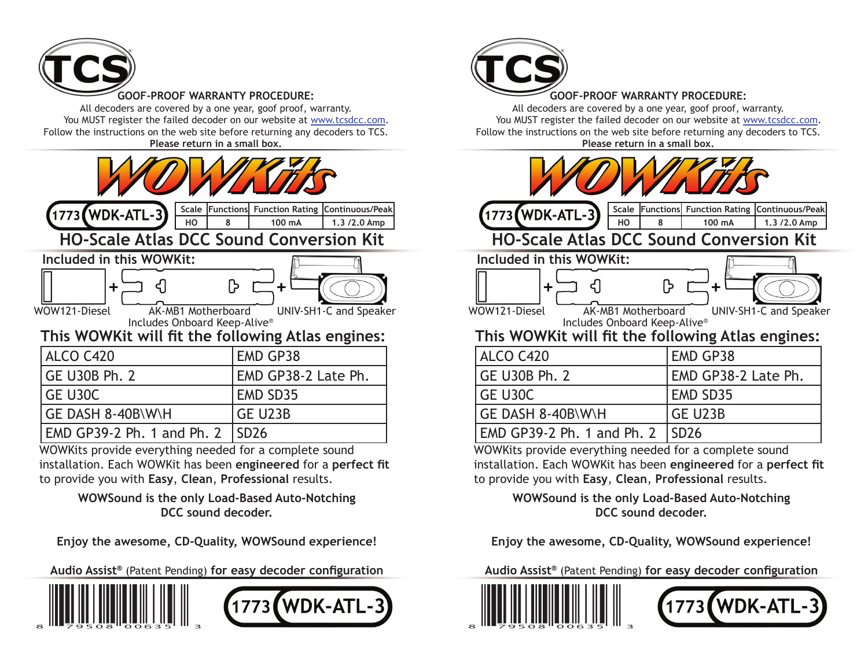

**GOOF-PROOF WARRANTY PROCEDURE:** All decoders are covered by a one year, goof proof, warranty.

You MUST register the failed decoder on our website at www.tcsdcc.com. Follow the instructions on the web site before returning any decoders to TCS. **Please return in a small box.**

| 1773 (WDK-ATL-3)<br>HO                                                           | Scale Functions Function Rating Continuous/Peak<br>8<br>100 mA<br>1.3 /2.0 Amp                      |  |
|----------------------------------------------------------------------------------|-----------------------------------------------------------------------------------------------------|--|
|                                                                                  | <b>HO-Scale Atlas DCC Sound Conversion Kit</b>                                                      |  |
| Included in this WOWKit:                                                         |                                                                                                     |  |
| $\ddot{}$<br>WOW121-Diesel<br>AK-MB1 Motherboard<br>Includes Onboard Keep-Alive® | $\ddot{\phantom{1}}$<br>UNIV-SH1-C and Speaker<br>This WOWKit will fit the following Atlas engines: |  |
| ALCO C420                                                                        | <b>EMD GP38</b>                                                                                     |  |
| <b>GE U30B Ph. 2</b>                                                             | EMD GP38-2 Late Ph.                                                                                 |  |
| GE U30C                                                                          | <b>EMD SD35</b>                                                                                     |  |
| GE DASH 8-40B\W\H                                                                | <b>GE U23B</b>                                                                                      |  |
| EMD GP39-2 Ph. 1 and Ph. 2                                                       | <b>SD26</b>                                                                                         |  |

WOWKits provide everything needed for a complete sound installation. Each WOWKit has been engineered for a perfect fit to provide you with **Easy**, **Clean**, **Professional** results.

> **WOWSound is the only Load-Based Auto-Notching DCC sound decoder.**

**Enjoy the awesome, CD-Quality, WOWSound experience!**

Audio Assist<sup>®</sup> (Patent Pending) for easy decoder configuration





#### **GOOF-PROOF WARRANTY PROCEDURE:**

All decoders are covered by a one year, goof proof, warranty. You MUST register the failed decoder on our website at www.tcsdcc.com. Follow the instructions on the web site before returning any decoders to TCS. **Please return in a small box.**

| 1773 (WDK-ATL-3)                                                                  | Scale Functions Function Rating Continuous/Peak |  |  |  |  |
|-----------------------------------------------------------------------------------|-------------------------------------------------|--|--|--|--|
| HO<br>8                                                                           | 100 mA<br>1.3 /2.0 Amp                          |  |  |  |  |
| <b>HO-Scale Atlas DCC Sound Conversion Kit</b>                                    |                                                 |  |  |  |  |
| Included in this WOWKit:                                                          |                                                 |  |  |  |  |
| ╈                                                                                 |                                                 |  |  |  |  |
| WOW121-Diesel<br>AK-MB1 Motherboard<br>UNIV-SH1-C and Speaker                     |                                                 |  |  |  |  |
| Includes Onboard Keep-Alive®<br>This WOWKit will fit the following Atlas engines: |                                                 |  |  |  |  |
| ALCO C420                                                                         | <b>EMD GP38</b>                                 |  |  |  |  |
| <b>GE U30B Ph. 2</b>                                                              | EMD GP38-2 Late Ph.                             |  |  |  |  |
| GE U30C                                                                           | <b>EMD SD35</b>                                 |  |  |  |  |
| GE DASH 8-40B\W\H                                                                 | <b>GE U23B</b>                                  |  |  |  |  |
| EMD GP39-2 Ph. 1 and Ph. 2                                                        | <b>SD26</b>                                     |  |  |  |  |
| WOWKits provide everything needed for a complete sound                            |                                                 |  |  |  |  |

installation. Each WOWKit has been engineered for a perfect fit to provide you with **Easy**, **Clean**, **Professional** results.

> **WOWSound is the only Load-Based Auto-Notching DCC sound decoder.**

**Enjoy the awesome, CD-Quality, WOWSound experience!**

Audio Assist<sup>®</sup> (Patent Pending) for easy decoder configuration